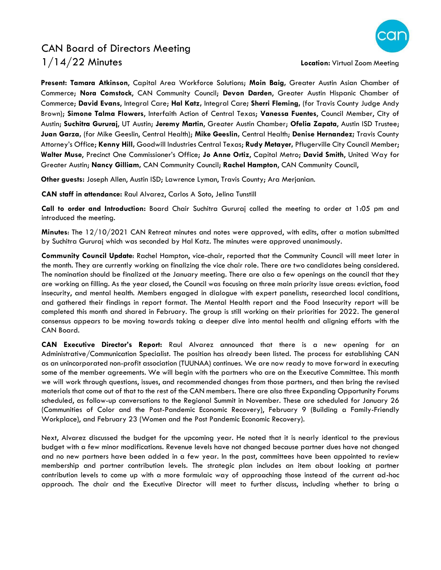## CAN Board of Directors Meeting 1/14/22 Minutes **Location:** Virtual Zoom Meeting



**Present: Tamara Atkinson**, Capital Area Workforce Solutions; **Moin Baig,** Greater Austin Asian Chamber of Commerce; **Nora Comstock**, CAN Community Council; **Devon Darden**, Greater Austin Hispanic Chamber of Commerce; **David Evans**, Integral Care; **Hal Katz,** Integral Care**; Sherri Fleming,** (for Travis County Judge Andy Brown); **Simone Talma Flowers**, Interfaith Action of Central Texas; **Vanessa Fuentes**, Council Member, City of Austin; **Suchitra Gururaj**, UT Austin; **Jeremy Martin**, Greater Austin Chamber; **Ofelia Zapata**, Austin ISD Trustee; **Juan Garza,** (for Mike Geeslin, Central Health); **Mike Geeslin,** Central Health; **Denise Hernandez;** Travis County Attorney's Office; **Kenny Hill,** Goodwill Industries Central Texas; **Rudy Metayer,** Pflugerville City Council Member; **Walter Muse**, Precinct One Commissioner's Office; **Jo Anne Ortiz**, Capital Metro; **David Smith**, United Way for Greater Austin; **Nancy Gilliam,** CAN Community Council; **Rachel Hampton**, CAN Community Council,

**Other guests:** Joseph Allen, Austin ISD; Lawrence Lyman, Travis County; Ara Merjanian.

**CAN staff in attendance:** Raul Alvarez, Carlos A Soto, Jelina Tunstill

**Call to order and Introduction:** Board Chair Suchitra Gururaj called the meeting to order at 1:05 pm and introduced the meeting.

**Minutes**: The 12/10/2021 CAN Retreat minutes and notes were approved, with edits, after a motion submitted by Suchitra Gururaj which was seconded by Hal Katz. The minutes were approved unanimously.

**Community Council Update**: Rachel Hampton, vice-chair, reported that the Community Council will meet later in the month. They are currently working on finalizing the vice chair role. There are two candidates being considered. The nomination should be finalized at the January meeting. There are also a few openings on the council that they are working on filling. As the year closed, the Council was focusing on three main priority issue areas: eviction, food insecurity, and mental health. Members engaged in dialogue with expert panelists, researched local conditions, and gathered their findings in report format. The Mental Health report and the Food Insecurity report will be completed this month and shared in February. The group is still working on their priorities for 2022. The general consensus appears to be moving towards taking a deeper dive into mental health and aligning efforts with the CAN Board.

**CAN Executive Director's Report:** Raul Alvarez announced that there is a new opening for an Administrative/Communication Specialist. The position has already been listed. The process for establishing CAN as an unincorporated non-profit association (TUUNAA) continues. We are now ready to move forward in executing some of the member agreements. We will begin with the partners who are on the Executive Committee. This month we will work through questions, issues, and recommended changes from those partners, and then bring the revised materials that come out of that to the rest of the CAN members. There are also three Expanding Opportunity Forums scheduled, as follow-up conversations to the Regional Summit in November. These are scheduled for January 26 (Communities of Color and the Post-Pandemic Economic Recovery), February 9 (Building a Family-Friendly Workplace), and February 23 (Women and the Post Pandemic Economic Recovery).

Next, Alvarez discussed the budget for the upcoming year. He noted that it is nearly identical to the previous budget with a few minor modifications. Revenue levels have not changed because partner dues have not changed and no new partners have been added in a few year. In the past, committees have been appointed to review membership and partner contribution levels. The strategic plan includes an item about looking at partner contribution levels to come up with a more formulaic way of approaching those instead of the current ad-hoc approach. The chair and the Executive Director will meet to further discuss, including whether to bring a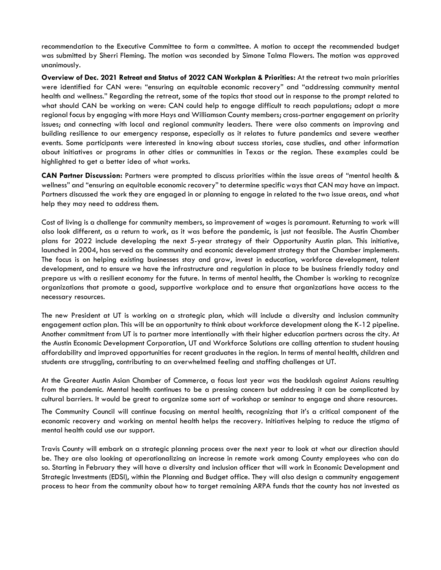recommendation to the Executive Committee to form a committee. A motion to accept the recommended budget was submitted by Sherri Fleming. The motion was seconded by Simone Talma Flowers. The motion was approved unanimously.

**Overview of Dec. 2021 Retreat and Status of 2022 CAN Workplan & Priorities:** At the retreat two main priorities were identified for CAN were: "ensuring an equitable economic recovery" and "addressing community mental health and wellness." Regarding the retreat, some of the topics that stood out in response to the prompt related to what should CAN be working on were: CAN could help to engage difficult to reach populations; adopt a more regional focus by engaging with more Hays and Williamson County members; cross-partner engagement on priority issues; and connecting with local and regional community leaders. There were also comments on improving and building resilience to our emergency response, especially as it relates to future pandemics and severe weather events. Some participants were interested in knowing about success stories, case studies, and other information about initiatives or programs in other cities or communities in Texas or the region. These examples could be highlighted to get a better idea of what works.

**CAN Partner Discussion:** Partners were prompted to discuss priorities within the issue areas of "mental health & wellness" and "ensuring an equitable economic recovery" to determine specific ways that CAN may have an impact. Partners discussed the work they are engaged in or planning to engage in related to the two issue areas, and what help they may need to address them.

Cost of living is a challenge for community members, so improvement of wages is paramount. Returning to work will also look different, as a return to work, as it was before the pandemic, is just not feasible. The Austin Chamber plans for 2022 include developing the next 5-year strategy of their Opportunity Austin plan. This initiative, launched in 2004, has served as the community and economic development strategy that the Chamber implements. The focus is on helping existing businesses stay and grow, invest in education, workforce development, talent development, and to ensure we have the infrastructure and regulation in place to be business friendly today and prepare us with a resilient economy for the future. In terms of mental health, the Chamber is working to recognize organizations that promote a good, supportive workplace and to ensure that organizations have access to the necessary resources.

The new President at UT is working on a strategic plan, which will include a diversity and inclusion community engagement action plan. This will be an opportunity to think about workforce development along the K-12 pipeline. Another commitment from UT is to partner more intentionally with their higher education partners across the city. At the Austin Economic Development Corporation, UT and Workforce Solutions are calling attention to student housing affordability and improved opportunities for recent graduates in the region. In terms of mental health, children and students are struggling, contributing to an overwhelmed feeling and staffing challenges at UT.

At the Greater Austin Asian Chamber of Commerce, a focus last year was the backlash against Asians resulting from the pandemic. Mental health continues to be a pressing concern but addressing it can be complicated by cultural barriers. It would be great to organize some sort of workshop or seminar to engage and share resources.

The Community Council will continue focusing on mental health, recognizing that it's a critical component of the economic recovery and working on mental health helps the recovery. Initiatives helping to reduce the stigma of mental health could use our support.

Travis County will embark on a strategic planning process over the next year to look at what our direction should be. They are also looking at operationalizing an increase in remote work among County employees who can do so. Starting in February they will have a diversity and inclusion officer that will work in Economic Development and Strategic Investments (EDSI), within the Planning and Budget office. They will also design a community engagement process to hear from the community about how to target remaining ARPA funds that the county has not invested as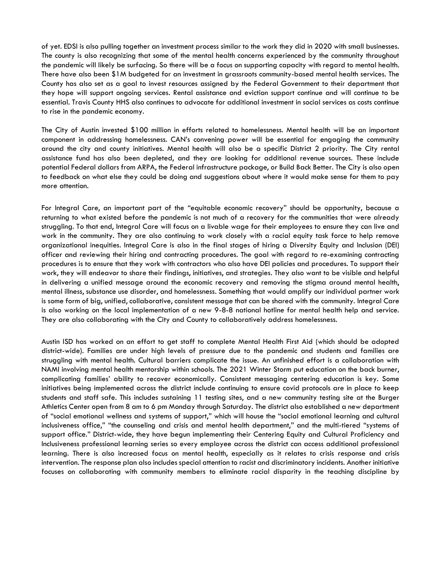of yet. EDSI is also pulling together an investment process similar to the work they did in 2020 with small businesses. The county is also recognizing that some of the mental health concerns experienced by the community throughout the pandemic will likely be surfacing. So there will be a focus on supporting capacity with regard to mental health. There have also been \$1M budgeted for an investment in grassroots community-based mental health services. The County has also set as a goal to invest resources assigned by the Federal Government to their department that they hope will support ongoing services. Rental assistance and eviction support continue and will continue to be essential. Travis County HHS also continues to advocate for additional investment in social services as costs continue to rise in the pandemic economy.

The City of Austin invested \$100 million in efforts related to homelessness. Mental health will be an important component in addressing homelessness. CAN's convening power will be essential for engaging the community around the city and county initiatives. Mental health will also be a specific District 2 priority. The City rental assistance fund has also been depleted, and they are looking for additional revenue sources. These include potential Federal dollars from ARPA, the Federal infrastructure package, or Build Back Better. The City is also open to feedback on what else they could be doing and suggestions about where it would make sense for them to pay more attention.

For Integral Care, an important part of the "equitable economic recovery" should be opportunity, because a returning to what existed before the pandemic is not much of a recovery for the communities that were already struggling. To that end, Integral Care will focus on a livable wage for their employees to ensure they can live and work in the community. They are also continuing to work closely with a racial equity task force to help remove organizational inequities. Integral Care is also in the final stages of hiring a Diversity Equity and Inclusion (DEI) officer and reviewing their hiring and contracting procedures. The goal with regard to re-examining contracting procedures is to ensure that they work with contractors who also have DEI policies and procedures. To support their work, they will endeavor to share their findings, initiatives, and strategies. They also want to be visible and helpful in delivering a unified message around the economic recovery and removing the stigma around mental health, mental illness, substance use disorder, and homelessness. Something that would amplify our individual partner work is some form of big, unified, collaborative, consistent message that can be shared with the community. Integral Care is also working on the local implementation of a new 9-8-8 national hotline for mental health help and service. They are also collaborating with the City and County to collaboratively address homelessness.

Austin ISD has worked on an effort to get staff to complete Mental Health First Aid (which should be adopted district-wide). Families are under high levels of pressure due to the pandemic and students and families are struggling with mental health. Cultural barriers complicate the issue. An unfinished effort is a collaboration with NAMI involving mental health mentorship within schools. The 2021 Winter Storm put education on the back burner, complicating families' ability to recover economically. Consistent messaging centering education is key. Some initiatives being implemented across the district include continuing to ensure covid protocols are in place to keep students and staff safe. This includes sustaining 11 testing sites, and a new community testing site at the Burger Athletics Center open from 8 am to 6 pm Monday through Saturday. The district also established a new department of "social emotional wellness and systems of support," which will house the "social emotional learning and cultural inclusiveness office," "the counseling and crisis and mental health department," and the multi-tiered "systems of support office." District-wide, they have begun implementing their Centering Equity and Cultural Proficiency and Inclusiveness professional learning series so every employee across the district can access additional professional learning. There is also increased focus on mental health, especially as it relates to crisis response and crisis intervention. The response plan also includes special attention to racist and discriminatory incidents. Another initiative focuses on collaborating with community members to eliminate racial disparity in the teaching discipline by